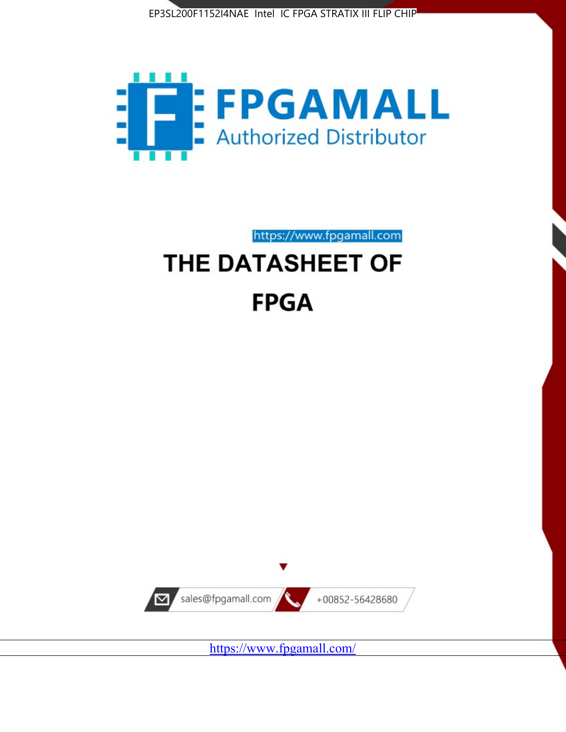



https://www.fpgamall.com

# THE DATASHEET OF **FPGA**



<https://www.fpgamall.com/>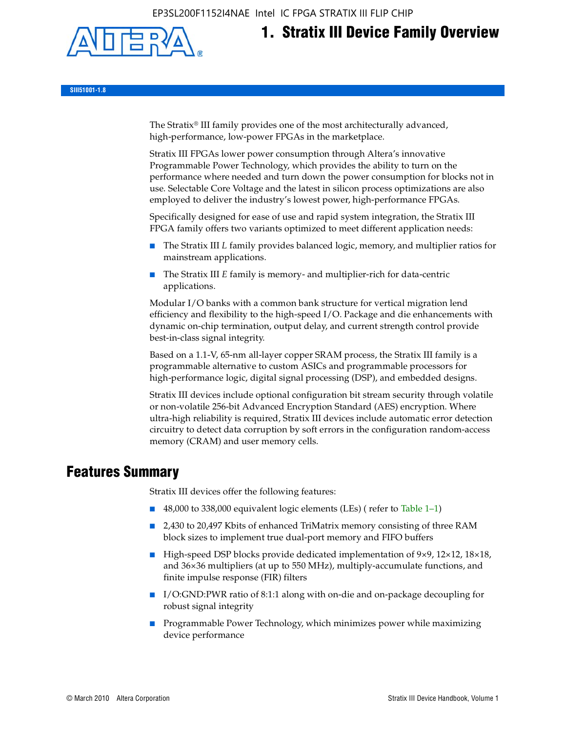EP3SL200F1152I4NAE Intel IC FPGA STRATIX III FLIP CHIP



# **1. Stratix III Device Family Overview**

**SIII51001-1.8**

The Stratix® III family provides one of the most architecturally advanced, high-performance, low-power FPGAs in the marketplace.

Stratix III FPGAs lower power consumption through Altera's innovative Programmable Power Technology, which provides the ability to turn on the performance where needed and turn down the power consumption for blocks not in use. Selectable Core Voltage and the latest in silicon process optimizations are also employed to deliver the industry's lowest power, high-performance FPGAs.

Specifically designed for ease of use and rapid system integration, the Stratix III FPGA family offers two variants optimized to meet different application needs:

- The Stratix III *L* family provides balanced logic, memory, and multiplier ratios for mainstream applications.
- The Stratix III *E* family is memory- and multiplier-rich for data-centric applications.

Modular I/O banks with a common bank structure for vertical migration lend efficiency and flexibility to the high-speed I/O. Package and die enhancements with dynamic on-chip termination, output delay, and current strength control provide best-in-class signal integrity.

Based on a 1.1-V, 65-nm all-layer copper SRAM process, the Stratix III family is a programmable alternative to custom ASICs and programmable processors for high-performance logic, digital signal processing (DSP), and embedded designs.

Stratix III devices include optional configuration bit stream security through volatile or non-volatile 256-bit Advanced Encryption Standard (AES) encryption. Where ultra-high reliability is required, Stratix III devices include automatic error detection circuitry to detect data corruption by soft errors in the configuration random-access memory (CRAM) and user memory cells.

# **Features Summary**

Stratix III devices offer the following features:

- 48,000 to 338,000 equivalent logic elements (LEs) (refer to Table 1–1)
- 2,430 to 20,497 Kbits of enhanced TriMatrix memory consisting of three RAM block sizes to implement true dual-port memory and FIFO buffers
- High-speed DSP blocks provide dedicated implementation of 9×9, 12×12, 18×18, and 36×36 multipliers (at up to 550 MHz), multiply-accumulate functions, and finite impulse response (FIR) filters
- I/O:GND:PWR ratio of 8:1:1 along with on-die and on-package decoupling for robust signal integrity
- Programmable Power Technology, which minimizes power while maximizing device performance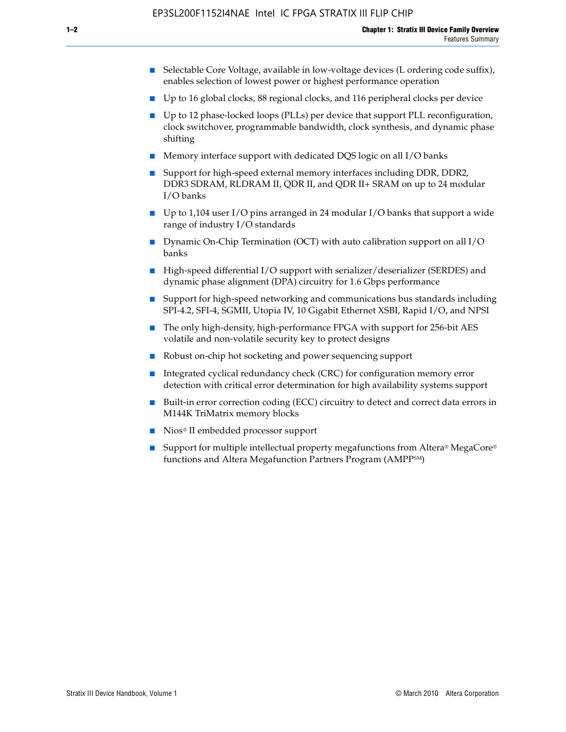- Selectable Core Voltage, available in low-voltage devices (L ordering code suffix), enables selection of lowest power or highest performance operation
- Up to 16 global clocks, 88 regional clocks, and 116 peripheral clocks per device
- Up to 12 phase-locked loops (PLLs) per device that support PLL reconfiguration, clock switchover, programmable bandwidth, clock synthesis, and dynamic phase shifting
- Memory interface support with dedicated DQS logic on all I/O banks
- Support for high-speed external memory interfaces including DDR, DDR2, DDR3 SDRAM, RLDRAM II, QDR II, and QDR II+ SRAM on up to 24 modular I/O banks
- Up to 1,104 user I/O pins arranged in 24 modular I/O banks that support a wide range of industry I/O standards
- Dynamic On-Chip Termination (OCT) with auto calibration support on all  $I/O$ banks
- High-speed differential I/O support with serializer/deserializer (SERDES) and dynamic phase alignment (DPA) circuitry for 1.6 Gbps performance
- Support for high-speed networking and communications bus standards including SPI-4.2, SFI-4, SGMII, Utopia IV, 10 Gigabit Ethernet XSBI, Rapid I/O, and NPSI
- The only high-density, high-performance FPGA with support for 256-bit AES volatile and non-volatile security key to protect designs
- Robust on-chip hot socketing and power sequencing support
- Integrated cyclical redundancy check (CRC) for configuration memory error detection with critical error determination for high availability systems support
- Built-in error correction coding (ECC) circuitry to detect and correct data errors in M144K TriMatrix memory blocks
- Nios<sup>®</sup> II embedded processor support
- Support for multiple intellectual property megafunctions from Altera® MegaCore® functions and Altera Megafunction Partners Program (AMPPSM)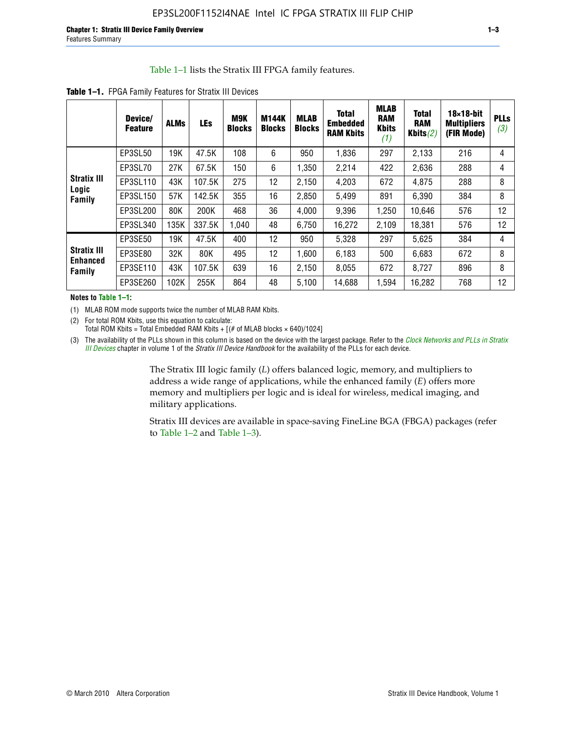#### Table 1–1 lists the Stratix III FPGA family features.

|                                                 | Device/<br><b>Feature</b> | <b>ALMs</b> | <b>LEs</b> | <b>M9K</b><br><b>Blocks</b> | <b>M144K</b><br><b>Blocks</b> | <b>MLAB</b><br><b>Blocks</b> | <b>Total</b><br>Embedded<br><b>RAM Kbits</b> | <b>MLAB</b><br><b>RAM</b><br><b>Kbits</b><br>(1) | <b>Total</b><br><b>RAM</b><br>Kbits $(2)$ | $18\times18$ -bit<br><b>Multipliers</b><br>(FIR Mode) | <b>PLLs</b><br>(3) |
|-------------------------------------------------|---------------------------|-------------|------------|-----------------------------|-------------------------------|------------------------------|----------------------------------------------|--------------------------------------------------|-------------------------------------------|-------------------------------------------------------|--------------------|
|                                                 | EP3SL50                   | 19K         | 47.5K      | 108                         | 6                             | 950                          | 1,836                                        | 297                                              | 2,133                                     | 216                                                   | 4                  |
|                                                 | EP3SL70                   | 27K         | 67.5K      | 150                         | 6                             | 1,350                        | 2,214                                        | 422                                              | 2,636                                     | 288                                                   | 4                  |
| <b>Stratix III</b>                              | EP3SL110                  | 43K         | 107.5K     | 275                         | 12                            | 2,150                        | 4,203                                        | 672                                              | 4,875                                     | 288                                                   | 8                  |
| Logic<br>Family                                 | EP3SL150                  | 57K         | 142.5K     | 355                         | 16                            | 2,850                        | 5,499                                        | 891                                              | 6,390                                     | 384                                                   | 8                  |
|                                                 | EP3SL200                  | 80K         | 200K       | 468                         | 36                            | 4,000                        | 9,396                                        | 1,250                                            | 10,646                                    | 576                                                   | 12                 |
|                                                 | EP3SL340                  | 135K        | 337.5K     | 1,040                       | 48                            | 6,750                        | 16,272                                       | 2,109                                            | 18,381                                    | 576                                                   | 12                 |
|                                                 | EP3SE50                   | 19K         | 47.5K      | 400                         | 12                            | 950                          | 5,328                                        | 297                                              | 5.625                                     | 384                                                   | 4                  |
| <b>Stratix III</b><br><b>Enhanced</b><br>Family | EP3SE80                   | 32K         | 80K        | 495                         | 12                            | 1,600                        | 6,183                                        | 500                                              | 6,683                                     | 672                                                   | 8                  |
|                                                 | EP3SE110                  | 43K         | 107.5K     | 639                         | 16                            | 2,150                        | 8,055                                        | 672                                              | 8,727                                     | 896                                                   | 8                  |
|                                                 | EP3SE260                  | 102K        | 255K       | 864                         | 48                            | 5,100                        | 14,688                                       | 1,594                                            | 16,282                                    | 768                                                   | 12                 |

**Table 1–1.** FPGA Family Features for Stratix III Devices

**Notes to Table 1–1:**

(1) MLAB ROM mode supports twice the number of MLAB RAM Kbits.

(2) For total ROM Kbits, use this equation to calculate: Total ROM Kbits = Total Embedded RAM Kbits +  $[(# of MLAB blocks × 640)/1024]$ 

(3) The availability of the PLLs shown in this column is based on the device with the largest package. Refer to the *[Clock Networks and PLLs in Stratix](http://www.altera.com/literature/hb/stx3/stx3_siii51006.pdf)  [III Devices](http://www.altera.com/literature/hb/stx3/stx3_siii51006.pdf)* chapter in volume 1 of the *Stratix III Device Handbook* for the availability of the PLLs for each device.

> The Stratix III logic family (*L*) offers balanced logic, memory, and multipliers to address a wide range of applications, while the enhanced family (*E*) offers more memory and multipliers per logic and is ideal for wireless, medical imaging, and military applications.

Stratix III devices are available in space-saving FineLine BGA (FBGA) packages (refer to Table 1–2 and Table 1–3).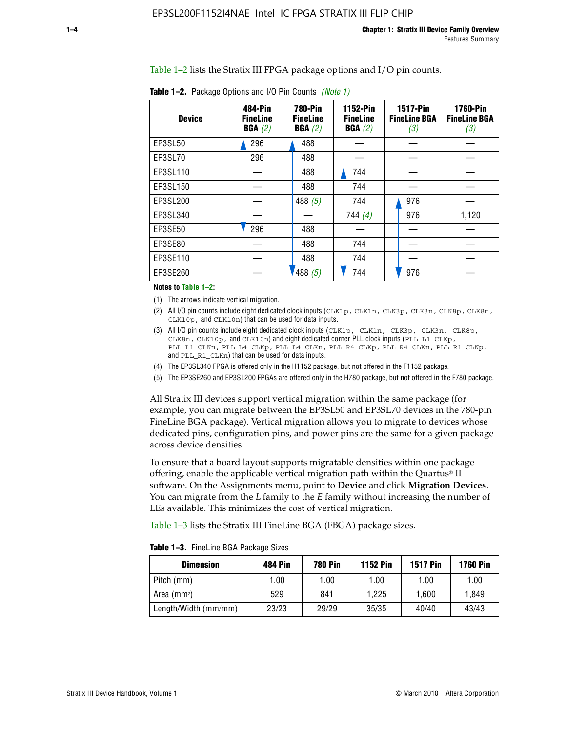Table 1–2 lists the Stratix III FPGA package options and I/O pin counts.

| <b>Device</b> | 484-Pin<br><b>FineLine</b><br>BGA(2) | <b>780-Pin</b><br><b>FineLine</b><br>BGA(2) | <b>1152-Pin</b><br><b>FineLine</b><br>BGA(2) | <b>1517-Pin</b><br><b>FineLine BGA</b><br>(3) | <b>1760-Pin</b><br><b>FineLine BGA</b><br>(3) |
|---------------|--------------------------------------|---------------------------------------------|----------------------------------------------|-----------------------------------------------|-----------------------------------------------|
| EP3SL50       | 296                                  | 488                                         |                                              |                                               |                                               |
| EP3SL70       | 296                                  | 488                                         |                                              |                                               |                                               |
| EP3SL110      |                                      | 488                                         | 744                                          |                                               |                                               |
| EP3SL150      |                                      | 488                                         | 744                                          |                                               |                                               |
| EP3SL200      |                                      | 488 $(5)$                                   | 744                                          | 976                                           |                                               |
| EP3SL340      |                                      |                                             | 744 $(4)$                                    | 976                                           | 1,120                                         |
| EP3SE50       | 296                                  | 488                                         |                                              |                                               |                                               |
| EP3SE80       |                                      | 488                                         | 744                                          |                                               |                                               |
| EP3SE110      |                                      | 488                                         | 744                                          |                                               |                                               |
| EP3SE260      |                                      | '488(5)                                     | 744                                          | 976                                           |                                               |

**Table 1–2.** Package Options and I/O Pin Counts *(Note 1)*

**Notes to Table 1–2:**

(1) The arrows indicate vertical migration.

- (2) All I/O pin counts include eight dedicated clock inputs (CLK1p, CLK1n, CLK3p, CLK3n, CLK8p, CLK8n, CLK10p, and CLK10n) that can be used for data inputs.
- (3) All I/O pin counts include eight dedicated clock inputs (CLK1p, CLK1n, CLK3p, CLK3n, CLK8p, CLK8n, CLK10p, and CLK10n) and eight dedicated corner PLL clock inputs (PLL\_L1\_CLKp, PLL\_L1\_CLKn, PLL\_L4\_CLKp, PLL\_L4\_CLKn, PLL\_R4\_CLKp, PLL\_R4\_CLKn, PLL\_R1\_CLKp, and PLL\_R1\_CLKn) that can be used for data inputs.
- (4) The EP3SL340 FPGA is offered only in the H1152 package, but not offered in the F1152 package.
- (5) The EP3SE260 and EP3SL200 FPGAs are offered only in the H780 package, but not offered in the F780 package.

All Stratix III devices support vertical migration within the same package (for example, you can migrate between the EP3SL50 and EP3SL70 devices in the 780-pin FineLine BGA package). Vertical migration allows you to migrate to devices whose dedicated pins, configuration pins, and power pins are the same for a given package across device densities.

To ensure that a board layout supports migratable densities within one package offering, enable the applicable vertical migration path within the Quartus® II software. On the Assignments menu, point to **Device** and click **Migration Devices**. You can migrate from the *L* family to the *E* family without increasing the number of LEs available. This minimizes the cost of vertical migration.

Table 1–3 lists the Stratix III FineLine BGA (FBGA) package sizes.

| <b>Table 1-3.</b> FineLine BGA Package Sizes |  |
|----------------------------------------------|--|
|----------------------------------------------|--|

| <b>Dimension</b>     | <b>484 Pin</b> | <b>780 Pin</b> | <b>1152 Pin</b> | <b>1517 Pin</b> | <b>1760 Pin</b> |
|----------------------|----------------|----------------|-----------------|-----------------|-----------------|
| Pitch (mm)           | 1.00           | 1.00           | 1.00            | 1.00            | 1.00            |
| Area $(mm2)$         | 529            | 841            | 1.225           | 1.600           | 1.849           |
| Length/Width (mm/mm) | 23/23          | 29/29          | 35/35           | 40/40           | 43/43           |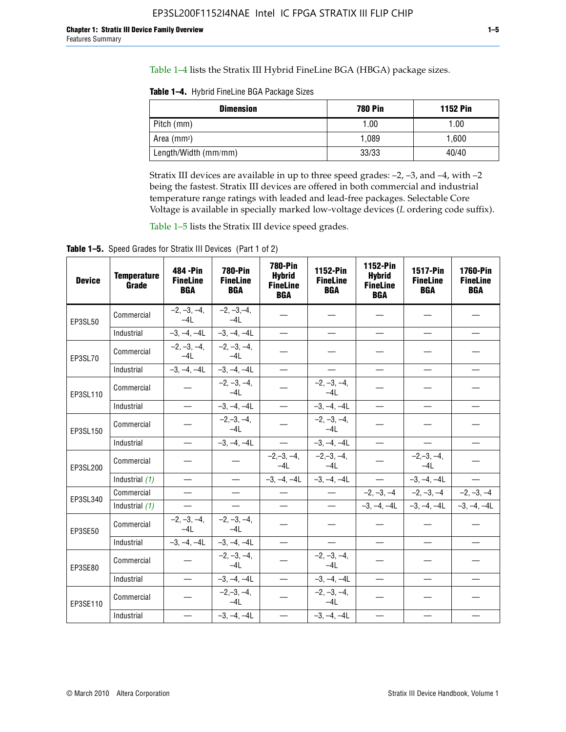Table 1–4 lists the Stratix III Hybrid FineLine BGA (HBGA) package sizes.

**Table 1–4.** Hybrid FineLine BGA Package Sizes

| <b>Dimension</b>     | <b>780 Pin</b> | <b>1152 Pin</b> |
|----------------------|----------------|-----------------|
| Pitch (mm)           | 1.00           | 1.00            |
| Area $(mm^2)$        | 1.089          | 1.600           |
| Length/Width (mm/mm) | 33/33          | 40/40           |

Stratix III devices are available in up to three speed grades: –2, –3, and –4, with –2 being the fastest. Stratix III devices are offered in both commercial and industrial temperature range ratings with leaded and lead-free packages. Selectable Core Voltage is available in specially marked low-voltage devices (*L* ordering code suffix).

Table 1–5 lists the Stratix III device speed grades.

Table 1-5. Speed Grades for Stratix III Devices (Part 1 of 2)

| <b>Device</b> | <b>Temperature</b><br>Grade | 484 - Pin<br><b>FineLine</b><br><b>BGA</b> | <b>780-Pin</b><br><b>FineLine</b><br><b>BGA</b> | <b>780-Pin</b><br><b>Hybrid</b><br><b>FineLine</b><br><b>BGA</b> | 1152-Pin<br><b>FineLine</b><br><b>BGA</b> | 1152-Pin<br><b>Hybrid</b><br><b>FineLine</b><br><b>BGA</b> | <b>1517-Pin</b><br><b>FineLine</b><br><b>BGA</b> | 1760-Pin<br><b>FineLine</b><br><b>BGA</b> |
|---------------|-----------------------------|--------------------------------------------|-------------------------------------------------|------------------------------------------------------------------|-------------------------------------------|------------------------------------------------------------|--------------------------------------------------|-------------------------------------------|
| EP3SL50       | Commercial                  | $-2, -3, -4,$<br>$-4L$                     | $-2, -3, -4,$<br>$-4L$                          |                                                                  |                                           |                                                            |                                                  |                                           |
|               | Industrial                  | $-3, -4, -4L$                              | $-3, -4, -4L$                                   | $\equiv$                                                         | $\equiv$                                  | $\equiv$                                                   | $\equiv$                                         | $\overline{\phantom{0}}$                  |
| EP3SL70       | Commercial                  | $-2, -3, -4,$<br>$-41$                     | $-2, -3, -4,$<br>$-41$                          |                                                                  |                                           |                                                            |                                                  |                                           |
|               | Industrial                  | $-3, -4, -4L$                              | $-3, -4, -4L$                                   |                                                                  | $\overline{\phantom{0}}$                  | $\equiv$                                                   | $\equiv$                                         | $\equiv$                                  |
| EP3SL110      | Commercial                  |                                            | $-2, -3, -4,$<br>$-4L$                          |                                                                  | $-2, -3, -4,$<br>$-4L$                    |                                                            |                                                  |                                           |
|               | Industrial                  | $\equiv$                                   | $-3, -4, -4L$                                   |                                                                  | $-3, -4, -4L$                             | $\frac{1}{2}$                                              | $\equiv$                                         | $\equiv$                                  |
| EP3SL150      | Commercial                  |                                            | $-2, -3, -4,$<br>$-41$                          |                                                                  | $-2, -3, -4,$<br>$-41$                    |                                                            |                                                  |                                           |
|               | Industrial                  | $\overline{\phantom{m}}$                   | $-3, -4, -4L$                                   | $\overline{\phantom{m}}$                                         | $-3, -4, -4L$                             | $\overline{\phantom{m}}$                                   |                                                  | $\overbrace{\phantom{12322111}}$          |
| EP3SL200      | Commercial                  |                                            |                                                 | $-2, -3, -4,$<br>$-4L$                                           | $-2,-3,-4,$<br>$-4L$                      |                                                            | $-2,-3,-4,$<br>$-4L$                             |                                           |
|               | Industrial (1)              | $\equiv$                                   | $\equiv$                                        | $-3, -4, -4L$                                                    | $-3, -4, -4L$                             | $\frac{1}{1}$                                              | $-3, -4, -4L$                                    | $\equiv$                                  |
| EP3SL340      | Commercial                  | $\equiv$                                   | $\qquad \qquad$                                 | $\qquad \qquad$                                                  | $\overline{\phantom{m}}$                  |                                                            | $-2, -3, -4$ $-2, -3, -4$                        | $-2, -3, -4$                              |
|               | Industrial (1)              |                                            | $\equiv$                                        | $\overline{\phantom{0}}$                                         | $-$                                       |                                                            | $-3, -4, -4$ $-3, -4, -4$                        | $-3, -4, -4L$                             |
| EP3SE50       | Commercial                  | $-2, -3, -4,$<br>$-4L$                     | $-2, -3, -4,$<br>$-4L$                          |                                                                  |                                           |                                                            |                                                  |                                           |
|               | Industrial                  | $-3, -4, -4L$                              | $-3, -4, -4L$                                   | $\equiv$                                                         | $\equiv$                                  | $\overline{\phantom{0}}$                                   | $\equiv$                                         | $\overline{\phantom{0}}$                  |
| EP3SE80       | Commercial                  |                                            | $-2, -3, -4,$<br>$-41$                          |                                                                  | $-2, -3, -4,$<br>$-41$                    |                                                            |                                                  |                                           |
|               | Industrial                  | $\overline{\phantom{m}}$                   | $-3, -4, -4L$                                   |                                                                  | $-3, -4, -4L$                             | $\qquad \qquad$                                            | $\equiv$                                         |                                           |
| EP3SE110      | Commercial                  |                                            | $-2, -3, -4,$<br>$-4L$                          |                                                                  | $-2, -3, -4,$<br>$-4L$                    |                                                            |                                                  |                                           |
|               | Industrial                  |                                            | $-3, -4, -4L$                                   | $\equiv$                                                         | $-3, -4, -4L$                             |                                                            |                                                  |                                           |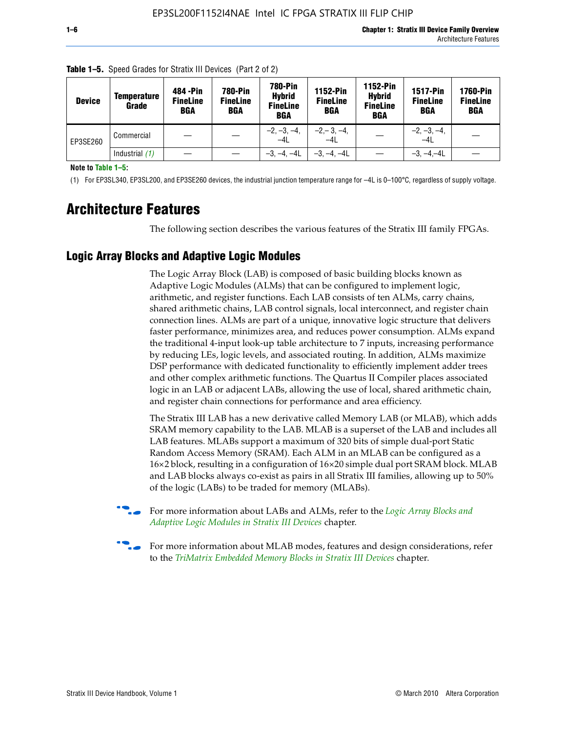| <b>Device</b> | <b>Temperature</b><br>Grade | 484 - Pin<br><b>FineLine</b><br><b>BGA</b> | <b>780-Pin</b><br><b>FineLine</b><br><b>BGA</b> | <b>780-Pin</b><br><b>Hybrid</b><br><b>FineLine</b><br><b>BGA</b> | 1152-Pin<br><b>FineLine</b><br><b>BGA</b> | 1152-Pin<br><b>Hybrid</b><br><b>FineLine</b><br><b>BGA</b> | <b>1517-Pin</b><br><b>FineLine</b><br><b>BGA</b> | 1760-Pin<br><b>FineLine</b><br><b>BGA</b> |
|---------------|-----------------------------|--------------------------------------------|-------------------------------------------------|------------------------------------------------------------------|-------------------------------------------|------------------------------------------------------------|--------------------------------------------------|-------------------------------------------|
| EP3SE260      | Commercial                  |                                            |                                                 | $-2, -3, -4,$<br>$-4L$                                           | $-2, -3, -4,$<br>$-4L$                    |                                                            | $-2, -3, -4,$<br>$-4L$                           |                                           |
|               | Industrial $(1)$            |                                            |                                                 | $-3, -4, -4L$                                                    | $-3, -4, -4L$                             |                                                            | $-3, -4, -4L$                                    |                                           |

| <b>Table 1–5.</b> Speed Grades for Stratix III Devices (Part 2 of 2) |  |  |
|----------------------------------------------------------------------|--|--|
|                                                                      |  |  |

**Note to Table 1–5:**

(1) For EP3SL340, EP3SL200, and EP3SE260 devices, the industrial junction temperature range for –4L is 0–100°C, regardless of supply voltage.

# **Architecture Features**

The following section describes the various features of the Stratix III family FPGAs.

# **Logic Array Blocks and Adaptive Logic Modules**

The Logic Array Block (LAB) is composed of basic building blocks known as Adaptive Logic Modules (ALMs) that can be configured to implement logic, arithmetic, and register functions. Each LAB consists of ten ALMs, carry chains, shared arithmetic chains, LAB control signals, local interconnect, and register chain connection lines. ALMs are part of a unique, innovative logic structure that delivers faster performance, minimizes area, and reduces power consumption. ALMs expand the traditional 4-input look-up table architecture to 7 inputs, increasing performance by reducing LEs, logic levels, and associated routing. In addition, ALMs maximize DSP performance with dedicated functionality to efficiently implement adder trees and other complex arithmetic functions. The Quartus II Compiler places associated logic in an LAB or adjacent LABs, allowing the use of local, shared arithmetic chain, and register chain connections for performance and area efficiency.

The Stratix III LAB has a new derivative called Memory LAB (or MLAB), which adds SRAM memory capability to the LAB. MLAB is a superset of the LAB and includes all LAB features. MLABs support a maximum of 320 bits of simple dual-port Static Random Access Memory (SRAM). Each ALM in an MLAB can be configured as a 16×2 block, resulting in a configuration of 16×20 simple dual port SRAM block. MLAB and LAB blocks always co-exist as pairs in all Stratix III families, allowing up to 50% of the logic (LABs) to be traded for memory (MLABs).



f For more information about LABs and ALMs, refer to the *[Logic Array Blocks and](http://www.altera.com/literature/hb/stx3/stx3_siii51002.pdf)  [Adaptive Logic Modules in Stratix III Devices](http://www.altera.com/literature/hb/stx3/stx3_siii51002.pdf)* chapter.



For more information about MLAB modes, features and design considerations, refer to the *[TriMatrix Embedded Memory Blocks in Stratix III Devices](http://www.altera.com/literature/hb/stx3/stx3_siii51004.pdf)* chapter.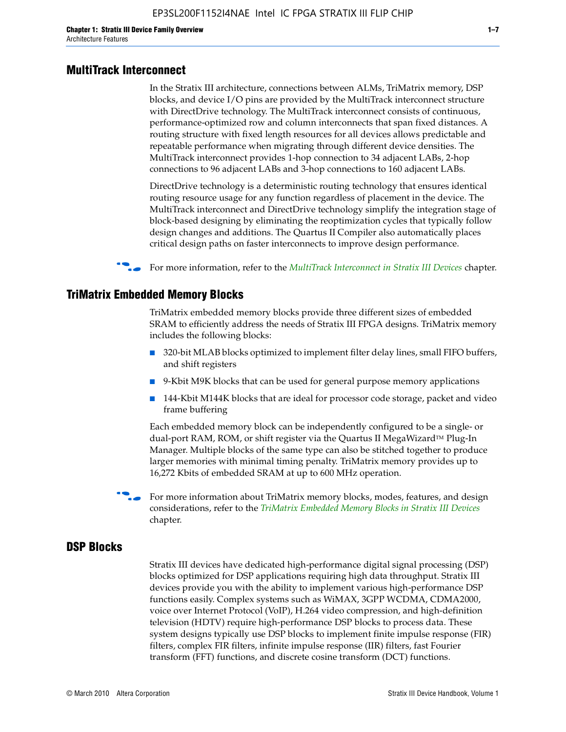#### **MultiTrack Interconnect**

In the Stratix III architecture, connections between ALMs, TriMatrix memory, DSP blocks, and device I/O pins are provided by the MultiTrack interconnect structure with DirectDrive technology. The MultiTrack interconnect consists of continuous, performance-optimized row and column interconnects that span fixed distances. A routing structure with fixed length resources for all devices allows predictable and repeatable performance when migrating through different device densities. The MultiTrack interconnect provides 1-hop connection to 34 adjacent LABs, 2-hop connections to 96 adjacent LABs and 3-hop connections to 160 adjacent LABs.

DirectDrive technology is a deterministic routing technology that ensures identical routing resource usage for any function regardless of placement in the device. The MultiTrack interconnect and DirectDrive technology simplify the integration stage of block-based designing by eliminating the reoptimization cycles that typically follow design changes and additions. The Quartus II Compiler also automatically places critical design paths on faster interconnects to improve design performance.

#### **For more information, refer to the** *[MultiTrack Interconnect in Stratix III Devices](http://www.altera.com/literature/hb/stx3/stx3_siii51003.pdf)* **chapter.**

#### **TriMatrix Embedded Memory Blocks**

TriMatrix embedded memory blocks provide three different sizes of embedded SRAM to efficiently address the needs of Stratix III FPGA designs. TriMatrix memory includes the following blocks:

- 320-bit MLAB blocks optimized to implement filter delay lines, small FIFO buffers, and shift registers
- 9-Kbit M9K blocks that can be used for general purpose memory applications
- 144-Kbit M144K blocks that are ideal for processor code storage, packet and video frame buffering

Each embedded memory block can be independently configured to be a single- or dual-port RAM, ROM, or shift register via the Quartus II MegaWizard™ Plug-In Manager. Multiple blocks of the same type can also be stitched together to produce larger memories with minimal timing penalty. TriMatrix memory provides up to 16,272 Kbits of embedded SRAM at up to 600 MHz operation.

For more information about TriMatrix memory blocks, modes, features, and design considerations, refer to the *[TriMatrix Embedded Memory Blocks in Stratix III Devices](http://www.altera.com/literature/hb/stx3/stx3_siii51004.pdf)* chapter.

#### **DSP Blocks**

Stratix III devices have dedicated high-performance digital signal processing (DSP) blocks optimized for DSP applications requiring high data throughput. Stratix III devices provide you with the ability to implement various high-performance DSP functions easily. Complex systems such as WiMAX, 3GPP WCDMA, CDMA2000, voice over Internet Protocol (VoIP), H.264 video compression, and high-definition television (HDTV) require high-performance DSP blocks to process data. These system designs typically use DSP blocks to implement finite impulse response (FIR) filters, complex FIR filters, infinite impulse response (IIR) filters, fast Fourier transform (FFT) functions, and discrete cosine transform (DCT) functions.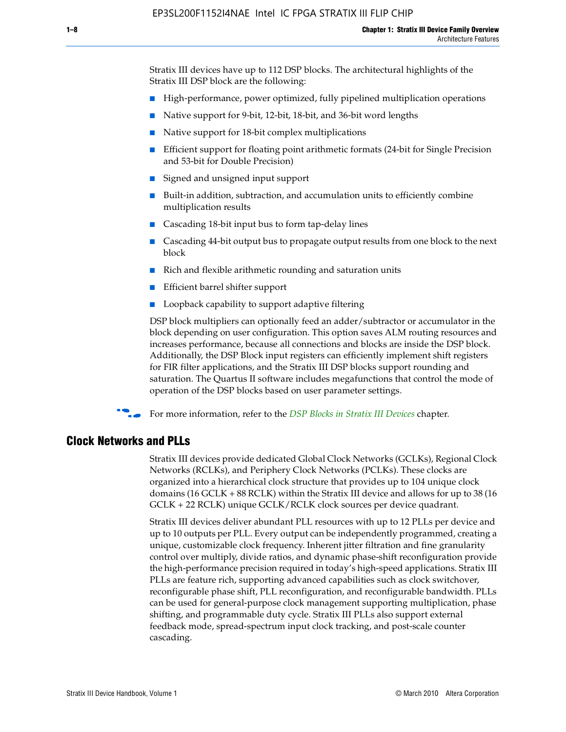Stratix III devices have up to 112 DSP blocks. The architectural highlights of the Stratix III DSP block are the following:

- High-performance, power optimized, fully pipelined multiplication operations
- Native support for 9-bit, 12-bit, 18-bit, and 36-bit word lengths
- Native support for 18-bit complex multiplications
- Efficient support for floating point arithmetic formats (24-bit for Single Precision and 53-bit for Double Precision)
- Signed and unsigned input support
- Built-in addition, subtraction, and accumulation units to efficiently combine multiplication results
- Cascading 18-bit input bus to form tap-delay lines
- Cascading 44-bit output bus to propagate output results from one block to the next block
- Rich and flexible arithmetic rounding and saturation units
- Efficient barrel shifter support
- Loopback capability to support adaptive filtering

DSP block multipliers can optionally feed an adder/subtractor or accumulator in the block depending on user configuration. This option saves ALM routing resources and increases performance, because all connections and blocks are inside the DSP block. Additionally, the DSP Block input registers can efficiently implement shift registers for FIR filter applications, and the Stratix III DSP blocks support rounding and saturation. The Quartus II software includes megafunctions that control the mode of operation of the DSP blocks based on user parameter settings.

f For more information, refer to the *[DSP Blocks in Stratix III Devices](http://www.altera.com/literature/hb/stx3/stx3_siii51005.pdf)* chapter.

#### **Clock Networks and PLLs**

Stratix III devices provide dedicated Global Clock Networks (GCLKs), Regional Clock Networks (RCLKs), and Periphery Clock Networks (PCLKs). These clocks are organized into a hierarchical clock structure that provides up to 104 unique clock domains (16 GCLK + 88 RCLK) within the Stratix III device and allows for up to 38 (16 GCLK + 22 RCLK) unique GCLK/RCLK clock sources per device quadrant.

Stratix III devices deliver abundant PLL resources with up to 12 PLLs per device and up to 10 outputs per PLL. Every output can be independently programmed, creating a unique, customizable clock frequency. Inherent jitter filtration and fine granularity control over multiply, divide ratios, and dynamic phase-shift reconfiguration provide the high-performance precision required in today's high-speed applications. Stratix III PLLs are feature rich, supporting advanced capabilities such as clock switchover, reconfigurable phase shift, PLL reconfiguration, and reconfigurable bandwidth. PLLs can be used for general-purpose clock management supporting multiplication, phase shifting, and programmable duty cycle. Stratix III PLLs also support external feedback mode, spread-spectrum input clock tracking, and post-scale counter cascading.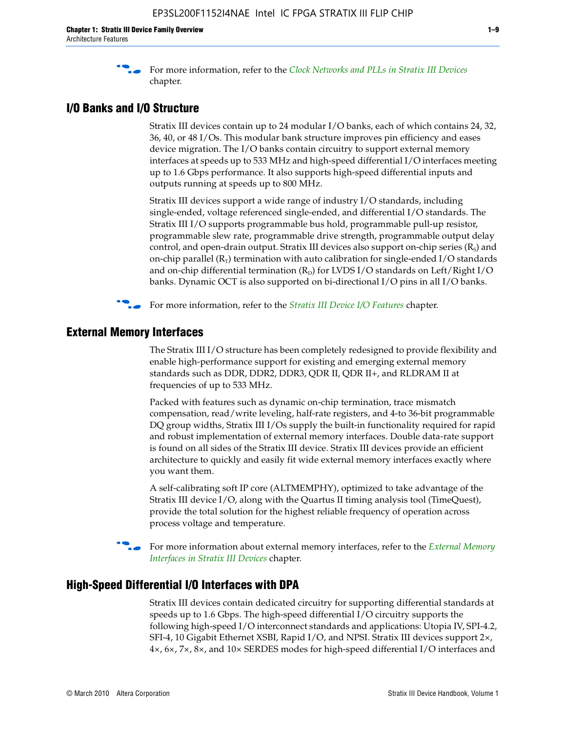f For more information, refer to the *[Clock Networks and PLLs in Stratix III Devices](http://www.altera.com/literature/hb/stx3/stx3_siii51006.pdf)* chapter.

# **I/O Banks and I/O Structure**

Stratix III devices contain up to 24 modular I/O banks, each of which contains 24, 32, 36, 40, or 48 I/Os. This modular bank structure improves pin efficiency and eases device migration. The I/O banks contain circuitry to support external memory interfaces at speeds up to 533 MHz and high-speed differential I/O interfaces meeting up to 1.6 Gbps performance. It also supports high-speed differential inputs and outputs running at speeds up to 800 MHz.

Stratix III devices support a wide range of industry I/O standards, including single-ended, voltage referenced single-ended, and differential I/O standards. The Stratix III I/O supports programmable bus hold, programmable pull-up resistor, programmable slew rate, programmable drive strength, programmable output delay control, and open-drain output. Stratix III devices also support on-chip series  $(R<sub>s</sub>)$  and on-chip parallel  $(R_T)$  termination with auto calibration for single-ended I/O standards and on-chip differential termination  $(R_D)$  for LVDS I/O standards on Left/Right I/O banks. Dynamic OCT is also supported on bi-directional I/O pins in all I/O banks.

**For more information, refer to the** *[Stratix III Device I/O Features](http://www.altera.com/literature/hb/stx3/stx3_siii51007.pdf)* **chapter.** 

# **External Memory Interfaces**

The Stratix III I/O structure has been completely redesigned to provide flexibility and enable high-performance support for existing and emerging external memory standards such as DDR, DDR2, DDR3, QDR II, QDR II+, and RLDRAM II at frequencies of up to 533 MHz.

Packed with features such as dynamic on-chip termination, trace mismatch compensation, read/write leveling, half-rate registers, and 4-to 36-bit programmable DQ group widths, Stratix III I/Os supply the built-in functionality required for rapid and robust implementation of external memory interfaces. Double data-rate support is found on all sides of the Stratix III device. Stratix III devices provide an efficient architecture to quickly and easily fit wide external memory interfaces exactly where you want them.

A self-calibrating soft IP core (ALTMEMPHY), optimized to take advantage of the Stratix III device I/O, along with the Quartus II timing analysis tool (TimeQuest), provide the total solution for the highest reliable frequency of operation across process voltage and temperature.

f For more information about external memory interfaces, refer to the *[External Memory](http://www.altera.com/literature/hb/stx3/stx3_siii51008.pdf)  [Interfaces in Stratix III Devices](http://www.altera.com/literature/hb/stx3/stx3_siii51008.pdf)* chapter.

#### **High-Speed Differential I/O Interfaces with DPA**

Stratix III devices contain dedicated circuitry for supporting differential standards at speeds up to 1.6 Gbps. The high-speed differential I/O circuitry supports the following high-speed I/O interconnect standards and applications: Utopia IV, SPI-4.2, SFI-4, 10 Gigabit Ethernet XSBI, Rapid I/O, and NPSI. Stratix III devices support 2×, 4×, 6×, 7×, 8×, and 10× SERDES modes for high-speed differential I/O interfaces and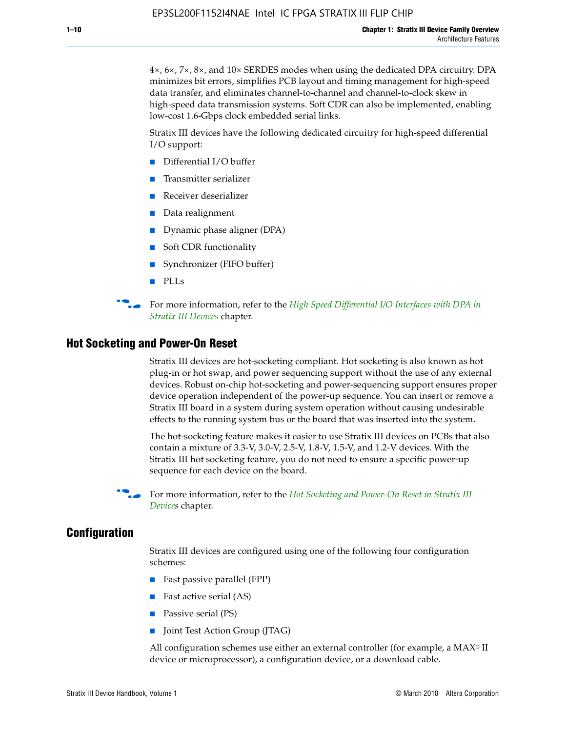4×, 6×, 7×, 8×, and 10× SERDES modes when using the dedicated DPA circuitry. DPA minimizes bit errors, simplifies PCB layout and timing management for high-speed data transfer, and eliminates channel-to-channel and channel-to-clock skew in high-speed data transmission systems. Soft CDR can also be implemented, enabling low-cost 1.6-Gbps clock embedded serial links.

Stratix III devices have the following dedicated circuitry for high-speed differential I/O support:

- Differential I/O buffer
- Transmitter serializer
- Receiver deserializer
- Data realignment
- Dynamic phase aligner (DPA)
- Soft CDR functionality
- Synchronizer (FIFO buffer)
- PLLs

**For more information, refer to the** *High Speed Differential I/O Interfaces with DPA in [Stratix III Devices](http://www.altera.com/literature/hb/stx3/stx3_siii51009.pdf)* chapter.

#### **Hot Socketing and Power-On Reset**

Stratix III devices are hot-socketing compliant. Hot socketing is also known as hot plug-in or hot swap, and power sequencing support without the use of any external devices. Robust on-chip hot-socketing and power-sequencing support ensures proper device operation independent of the power-up sequence. You can insert or remove a Stratix III board in a system during system operation without causing undesirable effects to the running system bus or the board that was inserted into the system.

The hot-socketing feature makes it easier to use Stratix III devices on PCBs that also contain a mixture of 3.3-V, 3.0-V, 2.5-V, 1.8-V, 1.5-V, and 1.2-V devices. With the Stratix III hot socketing feature, you do not need to ensure a specific power-up sequence for each device on the board.

f For more information, refer to the *[Hot Socketing and Power-On Reset in Stratix III](http://www.altera.com/literature/hb/stx3/stx3_siii51010.pdf)  [Device](http://www.altera.com/literature/hb/stx3/stx3_siii51010.pdf)s* chapter.

#### **Configuration**

Stratix III devices are configured using one of the following four configuration schemes:

- Fast passive parallel (FPP)
- Fast active serial (AS)
- Passive serial (PS)
- Joint Test Action Group (JTAG)

All configuration schemes use either an external controller (for example, a  $MAX<sup>®</sup>$  II device or microprocessor), a configuration device, or a download cable.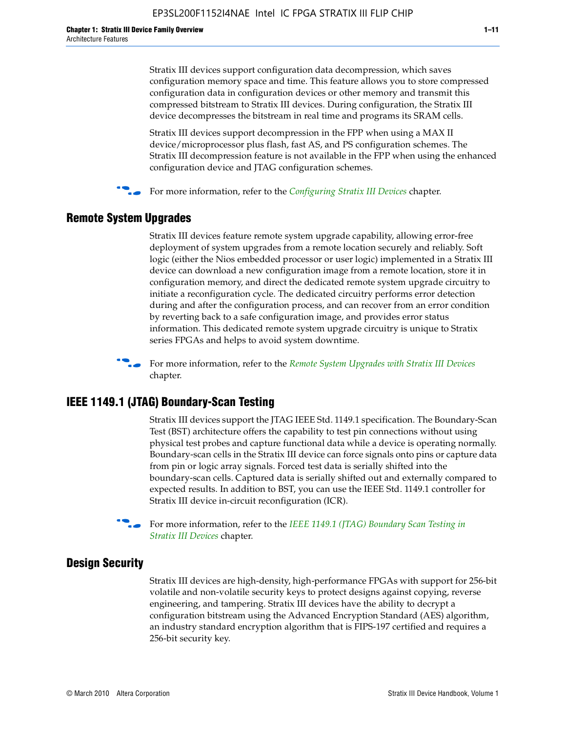Stratix III devices support configuration data decompression, which saves configuration memory space and time. This feature allows you to store compressed configuration data in configuration devices or other memory and transmit this compressed bitstream to Stratix III devices. During configuration, the Stratix III device decompresses the bitstream in real time and programs its SRAM cells.

Stratix III devices support decompression in the FPP when using a MAX II device/microprocessor plus flash, fast AS, and PS configuration schemes. The Stratix III decompression feature is not available in the FPP when using the enhanced configuration device and JTAG configuration schemes.

For more information, refer to the *[Configuring Stratix III Devices](http://www.altera.com/literature/hb/stx3/stx3_siii51011.pdf)* chapter.

## **Remote System Upgrades**

Stratix III devices feature remote system upgrade capability, allowing error-free deployment of system upgrades from a remote location securely and reliably. Soft logic (either the Nios embedded processor or user logic) implemented in a Stratix III device can download a new configuration image from a remote location, store it in configuration memory, and direct the dedicated remote system upgrade circuitry to initiate a reconfiguration cycle. The dedicated circuitry performs error detection during and after the configuration process, and can recover from an error condition by reverting back to a safe configuration image, and provides error status information. This dedicated remote system upgrade circuitry is unique to Stratix series FPGAs and helps to avoid system downtime.



**For more information, refer to the** *[Remote System Upgrades with Stratix III Devices](http://www.altera.com/literature/hb/stx3/stx3_siii51012.pdf)* chapter.

## **IEEE 1149.1 (JTAG) Boundary-Scan Testing**

Stratix III devices support the JTAG IEEE Std. 1149.1 specification. The Boundary-Scan Test (BST) architecture offers the capability to test pin connections without using physical test probes and capture functional data while a device is operating normally. Boundary-scan cells in the Stratix III device can force signals onto pins or capture data from pin or logic array signals. Forced test data is serially shifted into the boundary-scan cells. Captured data is serially shifted out and externally compared to expected results. In addition to BST, you can use the IEEE Std. 1149.1 controller for Stratix III device in-circuit reconfiguration (ICR).

For more information, refer to the *IEEE 1149.1 (JTAG) Boundary Scan Testing in [Stratix III Devices](http://www.altera.com/literature/hb/stx3/stx3_siii51013.pdf)* chapter.

## **Design Security**

Stratix III devices are high-density, high-performance FPGAs with support for 256-bit volatile and non-volatile security keys to protect designs against copying, reverse engineering, and tampering. Stratix III devices have the ability to decrypt a configuration bitstream using the Advanced Encryption Standard (AES) algorithm, an industry standard encryption algorithm that is FIPS-197 certified and requires a 256-bit security key.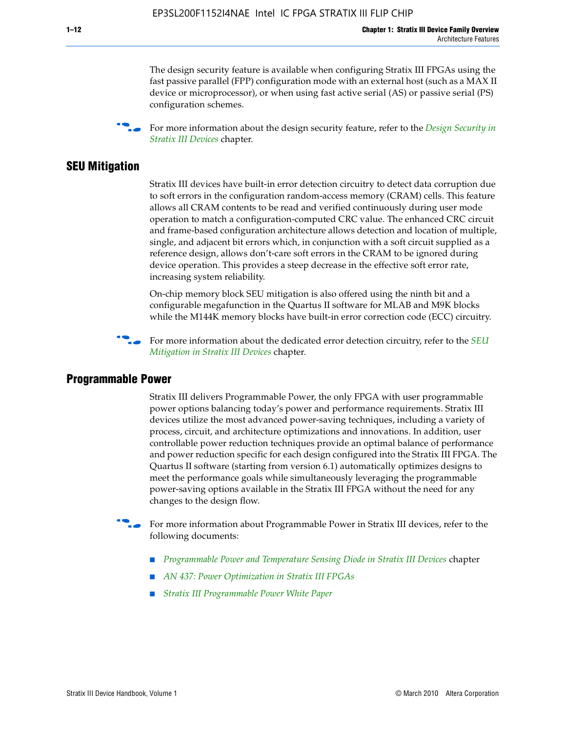The design security feature is available when configuring Stratix III FPGAs using the fast passive parallel (FPP) configuration mode with an external host (such as a MAX II device or microprocessor), or when using fast active serial (AS) or passive serial (PS) configuration schemes.

f For more information about the design security feature, refer to the *[Design Security in](http://www.altera.com/literature/hb/stx3/stx3_siii51014.pdf)  [Stratix III Devices](http://www.altera.com/literature/hb/stx3/stx3_siii51014.pdf)* chapter.

#### **SEU Mitigation**

Stratix III devices have built-in error detection circuitry to detect data corruption due to soft errors in the configuration random-access memory (CRAM) cells. This feature allows all CRAM contents to be read and verified continuously during user mode operation to match a configuration-computed CRC value. The enhanced CRC circuit and frame-based configuration architecture allows detection and location of multiple, single, and adjacent bit errors which, in conjunction with a soft circuit supplied as a reference design, allows don't-care soft errors in the CRAM to be ignored during device operation. This provides a steep decrease in the effective soft error rate, increasing system reliability.

On-chip memory block SEU mitigation is also offered using the ninth bit and a configurable megafunction in the Quartus II software for MLAB and M9K blocks while the M144K memory blocks have built-in error correction code (ECC) circuitry.

For more information about the dedicated error detection circuitry, refer to the *SEU [Mitigation in Stratix III Devices](http://www.altera.com/literature/hb/stx3/stx3_siii51015.pdf)* chapter.

#### **Programmable Power**

Stratix III delivers Programmable Power, the only FPGA with user programmable power options balancing today's power and performance requirements. Stratix III devices utilize the most advanced power-saving techniques, including a variety of process, circuit, and architecture optimizations and innovations. In addition, user controllable power reduction techniques provide an optimal balance of performance and power reduction specific for each design configured into the Stratix III FPGA. The Quartus II software (starting from version 6.1) automatically optimizes designs to meet the performance goals while simultaneously leveraging the programmable power-saving options available in the Stratix III FPGA without the need for any changes to the design flow.

For more information about Programmable Power in Stratix III devices, refer to the following documents:

- *[Programmable Power and Temperature Sensing Diode in Stratix III Devices](http://www.altera.com/literature/hb/stx3/stx3_siii51016.pdf)* chapter
- *[AN 437: Power Optimization in Stratix III FPGAs](http://www.altera.com/literature/an/AN437.pdf)*
- *[Stratix III Programmable Power White Paper](http://www.altera.com/literature/wp/wp-01006.pdf)*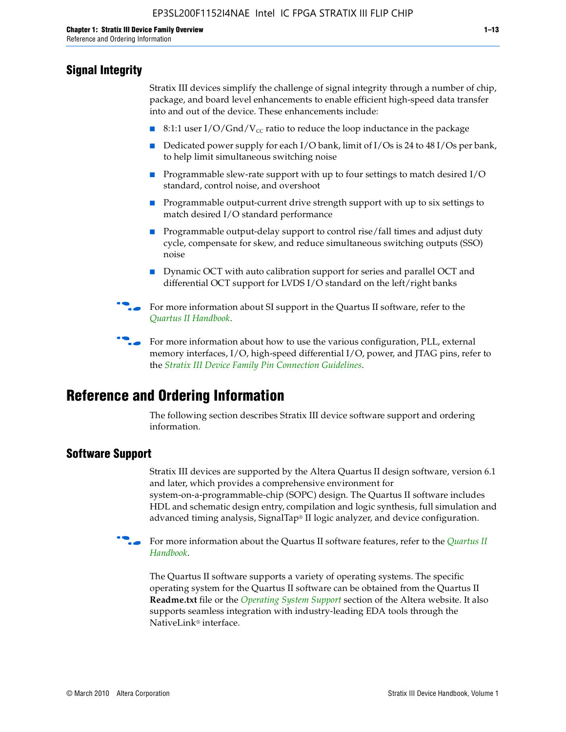# **Signal Integrity**

Stratix III devices simplify the challenge of signal integrity through a number of chip, package, and board level enhancements to enable efficient high-speed data transfer into and out of the device. These enhancements include:

- 8:1:1 user I/O/Gnd/V<sub>cc</sub> ratio to reduce the loop inductance in the package
- Dedicated power supply for each I/O bank, limit of I/Os is 24 to 48 I/Os per bank, to help limit simultaneous switching noise
- Programmable slew-rate support with up to four settings to match desired I/O standard, control noise, and overshoot
- Programmable output-current drive strength support with up to six settings to match desired I/O standard performance
- Programmable output-delay support to control rise/fall times and adjust duty cycle, compensate for skew, and reduce simultaneous switching outputs (SSO) noise
- Dynamic OCT with auto calibration support for series and parallel OCT and differential OCT support for LVDS I/O standard on the left/right banks
- For mor[e](http://www.altera.com/literature/hb/qts/quartusii_handbook.pdf) information about SI support in the Quartus II software, refer to the *[Quartus II Handbook](http://www.altera.com/literature/hb/qts/quartusii_handbook.pdf)*.

For more information about how to use the various configuration, PLL, external memory interfaces, I/O, high-speed differential I/O, power, and JTAG pins, refer to the *[Stratix III Device Family Pin Connection Guidelines](http://www.altera.com/literature/dp/stx3/PCG-01004.pdf)*.

# **Reference and Ordering Information**

The following section describes Stratix III device software support and ordering information.

## **Software Support**

Stratix III devices are supported by the Altera Quartus II design software, version 6.1 and later, which provides a comprehensive environment for system-on-a-programmable-chip (SOPC) design. The Quartus II software includes HDL and schematic design entry, compilation and logic synthesis, full simulation and advanced timing analysis, SignalTap® II logic analyzer, and device configuration.

**For more information about the [Quartus II](http://www.altera.com/literature/hb/qts/quartusii_handbook.pdf) software features, refer to the** *Quartus II* **<b>Fig. 7** *[Handbook](http://www.altera.com/literature/hb/qts/quartusii_handbook.pdf)*.

The Quartus II software supports a variety of operating systems. The specific operating system for the Quartus II software can be obtained from the Quartus II **Readme.txt** file or the *[Operating System Support](http://www.altera.com/support/software/os_support/oss-index.html)* section of the Altera website. It also supports seamless integration with industry-leading EDA tools through the NativeLink® interface.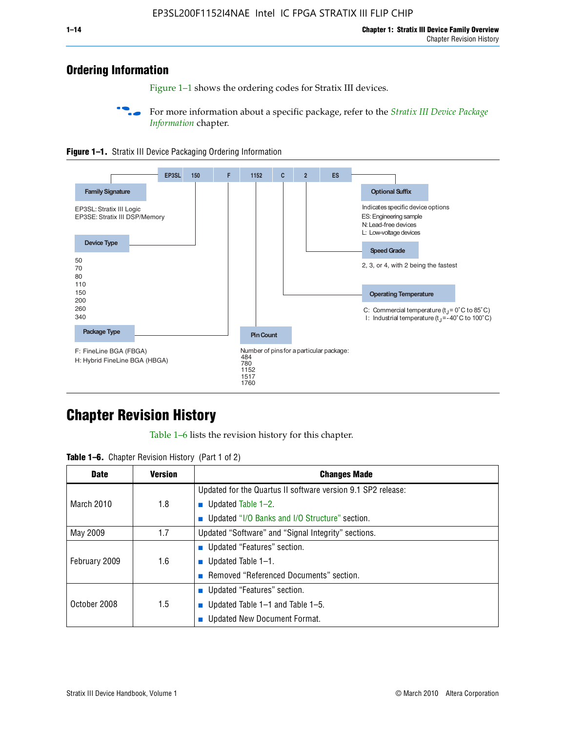# **Ordering Information**

Figure 1–1 shows the ordering codes for Stratix III devices.

For more information about a specific package, refer to the *Stratix III Device Package [Information](http://www.altera.com/literature/hb/stx3/stx3_siii51017.pdf)* chapter.





# **[C](http://www.altera.com/literature/hb/stx3/stx3_siii51012.pdf)hapter Revision History**

Table 1–6 lists the revision history for this chapter.

| <b>Table 1–6.</b> Chapter Revision History (Part 1 of 2) |  |  |  |  |  |
|----------------------------------------------------------|--|--|--|--|--|
|----------------------------------------------------------|--|--|--|--|--|

| <b>Date</b>       | <b>Version</b> | <b>Changes Made</b>                                          |
|-------------------|----------------|--------------------------------------------------------------|
|                   |                | Updated for the Quartus II software version 9.1 SP2 release: |
| <b>March 2010</b> | 1.8            | <b>u</b> Updated Table $1-2$ .                               |
|                   |                | ■ Updated "I/O Banks and I/O Structure" section.             |
| May 2009          | 1.7            | Updated "Software" and "Signal Integrity" sections.          |
|                   |                | Updated "Features" section.                                  |
| February 2009     | 1.6            | <b>u</b> Updated Table $1-1$ .                               |
|                   |                | Removed "Referenced Documents" section.                      |
|                   |                | ■ Updated "Features" section.                                |
| October 2008      | 1.5            | ■ Updated Table 1–1 and Table 1–5.                           |
|                   |                | <b>Updated New Document Format.</b>                          |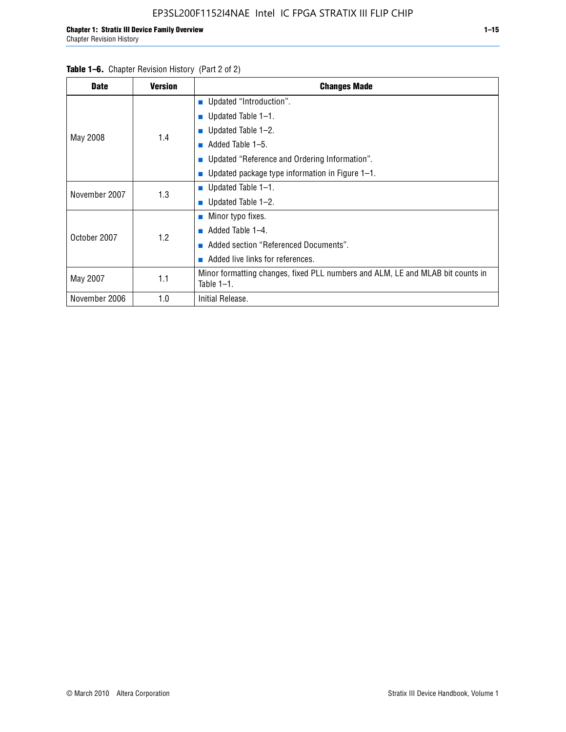| <b>Date</b>   | <b>Version</b> | <b>Changes Made</b>                                                                             |
|---------------|----------------|-------------------------------------------------------------------------------------------------|
|               |                | <b>Updated "Introduction".</b>                                                                  |
|               |                | Updated Table 1-1.                                                                              |
| May 2008      | 1.4            | ■ Updated Table $1-2$ .                                                                         |
|               |                | Added Table 1-5.                                                                                |
|               |                | Updated "Reference and Ordering Information".                                                   |
|               |                | ■ Updated package type information in Figure $1-1$ .                                            |
| November 2007 | 1.3            | ■ Updated Table $1-1$ .                                                                         |
|               |                | $\blacksquare$ Updated Table 1-2.                                                               |
|               |                | ■ Minor typo fixes.                                                                             |
| October 2007  | 1.2            | Added Table 1-4.                                                                                |
|               |                | Added section "Referenced Documents".                                                           |
|               |                | Added live links for references.                                                                |
| May 2007      | 1.1            | Minor formatting changes, fixed PLL numbers and ALM, LE and MLAB bit counts in<br>Table $1-1$ . |
| November 2006 | 1.0            | Initial Release.                                                                                |